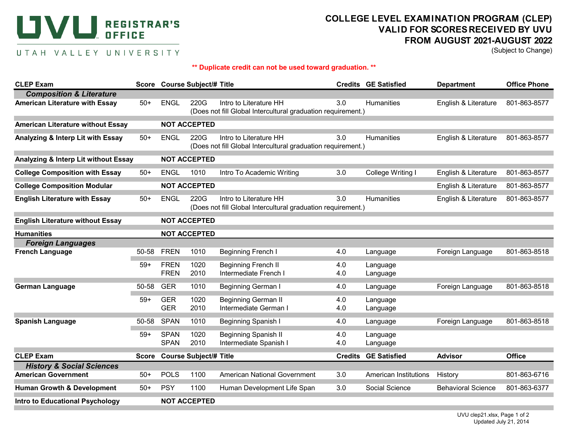## **UVU. REGISTRAR'S OFFICE**

## **COLLEGE LEVEL EXAMINATION PROGRAM (CLEP) VALID FOR SCORES RECEIVED BY UVU FROM AUGUST 2021-AUGUST 2022**

(Subject to Change)

## UTAH VALLEY UNIVERSITY

## **\*\* Duplicate credit can not be used toward graduation. \*\***

| <b>CLEP Exam</b>                                                             |                     |                               | Score Course Subject/# Title |                                                                                        |                | <b>Credits GE Satisfied</b> | <b>Department</b>         | <b>Office Phone</b> |  |  |
|------------------------------------------------------------------------------|---------------------|-------------------------------|------------------------------|----------------------------------------------------------------------------------------|----------------|-----------------------------|---------------------------|---------------------|--|--|
| <b>Composition &amp; Literature</b><br><b>American Literature with Essay</b> | $50+$               | <b>ENGL</b>                   | 220G                         | Intro to Literature HH<br>(Does not fill Global Intercultural graduation requirement.) | 3.0            | <b>Humanities</b>           | English & Literature      | 801-863-8577        |  |  |
| <b>American Literature without Essay</b>                                     |                     |                               | <b>NOT ACCEPTED</b>          |                                                                                        |                |                             |                           |                     |  |  |
| Analyzing & Interp Lit with Essay                                            | $50+$               | <b>ENGL</b>                   | 220G                         | Intro to Literature HH<br>(Does not fill Global Intercultural graduation requirement.) | 3.0            | <b>Humanities</b>           | English & Literature      | 801-863-8577        |  |  |
| Analyzing & Interp Lit without Essay                                         |                     | <b>NOT ACCEPTED</b>           |                              |                                                                                        |                |                             |                           |                     |  |  |
| <b>College Composition with Essay</b>                                        | $50+$               | <b>ENGL</b>                   | 1010                         | Intro To Academic Writing                                                              | 3.0            | College Writing I           | English & Literature      | 801-863-8577        |  |  |
| <b>College Composition Modular</b>                                           |                     |                               | <b>NOT ACCEPTED</b>          |                                                                                        |                |                             | English & Literature      | 801-863-8577        |  |  |
| <b>English Literature with Essay</b>                                         | $50+$               | <b>ENGL</b>                   | 220G                         | Intro to Literature HH<br>(Does not fill Global Intercultural graduation requirement.) | 3.0            | <b>Humanities</b>           | English & Literature      | 801-863-8577        |  |  |
| <b>English Literature without Essay</b>                                      | <b>NOT ACCEPTED</b> |                               |                              |                                                                                        |                |                             |                           |                     |  |  |
| <b>Humanities</b>                                                            |                     | <b>NOT ACCEPTED</b>           |                              |                                                                                        |                |                             |                           |                     |  |  |
| <b>Foreign Languages</b>                                                     |                     |                               |                              |                                                                                        |                |                             |                           |                     |  |  |
| <b>French Language</b>                                                       | 50-58               | <b>FREN</b>                   | 1010                         | <b>Beginning French I</b>                                                              | 4.0            | Language                    | Foreign Language          | 801-863-8518        |  |  |
|                                                                              | $59+$               | <b>FREN</b><br><b>FREN</b>    | 1020<br>2010                 | <b>Beginning French II</b><br>Intermediate French I                                    | 4.0<br>4.0     | Language<br>Language        |                           |                     |  |  |
| <b>German Language</b>                                                       | 50-58               | <b>GER</b>                    | 1010                         | Beginning German I                                                                     | 4.0            | Language                    | Foreign Language          | 801-863-8518        |  |  |
|                                                                              | $59+$               | <b>GER</b><br><b>GER</b>      | 1020<br>2010                 | <b>Beginning German II</b><br>Intermediate German I                                    | 4.0<br>4.0     | Language<br>Language        |                           |                     |  |  |
| <b>Spanish Language</b>                                                      | 50-58               | <b>SPAN</b>                   | 1010                         | Beginning Spanish I                                                                    | 4.0            | Language                    | Foreign Language          | 801-863-8518        |  |  |
|                                                                              | $59+$               | <b>SPAN</b><br><b>SPAN</b>    | 1020<br>2010                 | <b>Beginning Spanish II</b><br>Intermediate Spanish I                                  | 4.0<br>4.0     | Language<br>Language        |                           |                     |  |  |
| <b>CLEP Exam</b>                                                             | <b>Score</b>        | <b>Course Subject/# Title</b> |                              |                                                                                        | <b>Credits</b> | <b>GE Satisfied</b>         | <b>Advisor</b>            | <b>Office</b>       |  |  |
| <b>History &amp; Social Sciences</b>                                         |                     |                               |                              |                                                                                        |                |                             |                           |                     |  |  |
| <b>American Government</b>                                                   | $50+$               | <b>POLS</b>                   | 1100                         | <b>American National Government</b>                                                    | 3.0            | American Institutions       | History                   | 801-863-6716        |  |  |
| <b>Human Growth &amp; Development</b>                                        | $50+$               | <b>PSY</b>                    | 1100                         | Human Development Life Span                                                            | 3.0            | Social Science              | <b>Behavioral Science</b> | 801-863-6377        |  |  |
| <b>Intro to Educational Psychology</b>                                       |                     | <b>NOT ACCEPTED</b>           |                              |                                                                                        |                |                             |                           |                     |  |  |